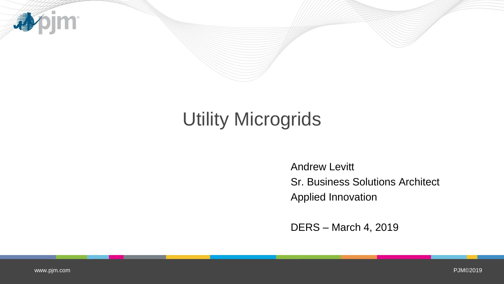

# Utility Microgrids

Andrew Levitt Sr. Business Solutions Architect Applied Innovation

DERS – March 4, 2019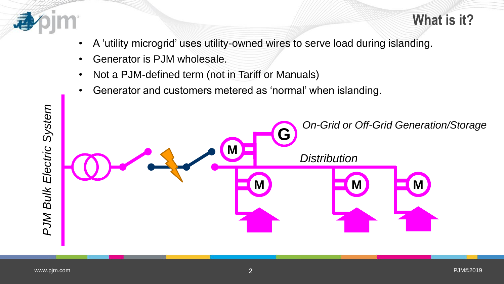

- A 'utility microgrid' uses utility-owned wires to serve load during islanding.
- Generator is PJM wholesale.
- Not a PJM-defined term (not in Tariff or Manuals)
- Generator and customers metered as 'normal' when islanding.

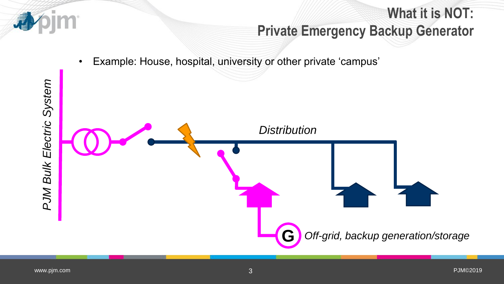

### **What it is NOT: Private Emergency Backup Generator**

• Example: House, hospital, university or other private 'campus'

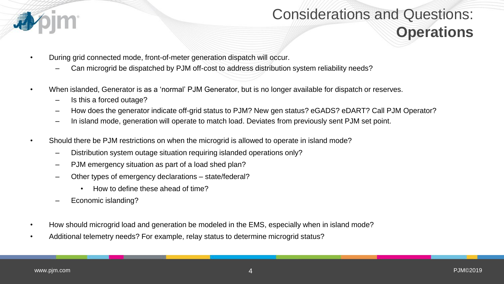

#### Considerations and Questions:

**Operations**

- During grid connected mode, front-of-meter generation dispatch will occur.
	- Can microgrid be dispatched by PJM off-cost to address distribution system reliability needs?
- When islanded, Generator is as a 'normal' PJM Generator, but is no longer available for dispatch or reserves.
	- Is this a forced outage?
	- How does the generator indicate off-grid status to PJM? New gen status? eGADS? eDART? Call PJM Operator?
	- In island mode, generation will operate to match load. Deviates from previously sent PJM set point.
- Should there be PJM restrictions on when the microgrid is allowed to operate in island mode?
	- Distribution system outage situation requiring islanded operations only?
	- PJM emergency situation as part of a load shed plan?
	- Other types of emergency declarations state/federal?
		- How to define these ahead of time?
	- Economic islanding?
- How should microgrid load and generation be modeled in the EMS, especially when in island mode?
- Additional telemetry needs? For example, relay status to determine microgrid status?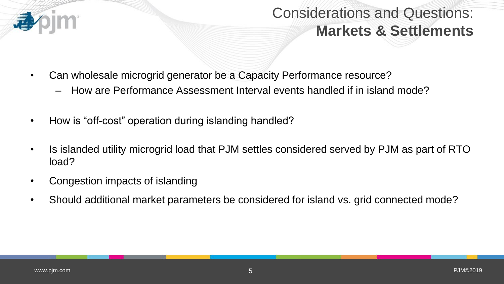

## Considerations and Questions: **Markets & Settlements**

- Can wholesale microgrid generator be a Capacity Performance resource?
	- How are Performance Assessment Interval events handled if in island mode?
- How is "off-cost" operation during islanding handled?
- Is islanded utility microgrid load that PJM settles considered served by PJM as part of RTO load?
- Congestion impacts of islanding
- Should additional market parameters be considered for island vs. grid connected mode?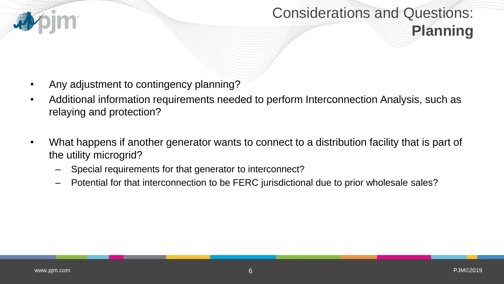

# Considerations and Questions:

**Planning**

- Any adjustment to contingency planning?
- Additional information requirements needed to perform Interconnection Analysis, such as relaying and protection?
- What happens if another generator wants to connect to a distribution facility that is part of the utility microgrid?
	- Special requirements for that generator to interconnect?
	- Potential for that interconnection to be FERC jurisdictional due to prior wholesale sales?